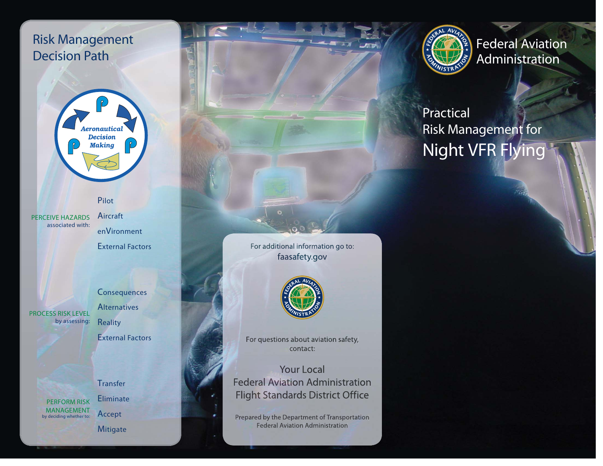## Risk Management Decision Path



PilotPERCEIVE HAZARDS

associated with:

AircraftenVironment

External Factors



**Consequences Alternatives** 

**Reality** 

External Factors



**Eliminate** Accept

**Mitigate** 

For additional information go to: faasafety.gov



For questions about aviation safety, contact:

**Your Local Federal Aviation Administration Flight Standards District Office** 

Prepared by the Department of Transportation **Federal Aviation Administration** 



Federal Aviation Administration

# Practical Risk Management for Night VFR Flying